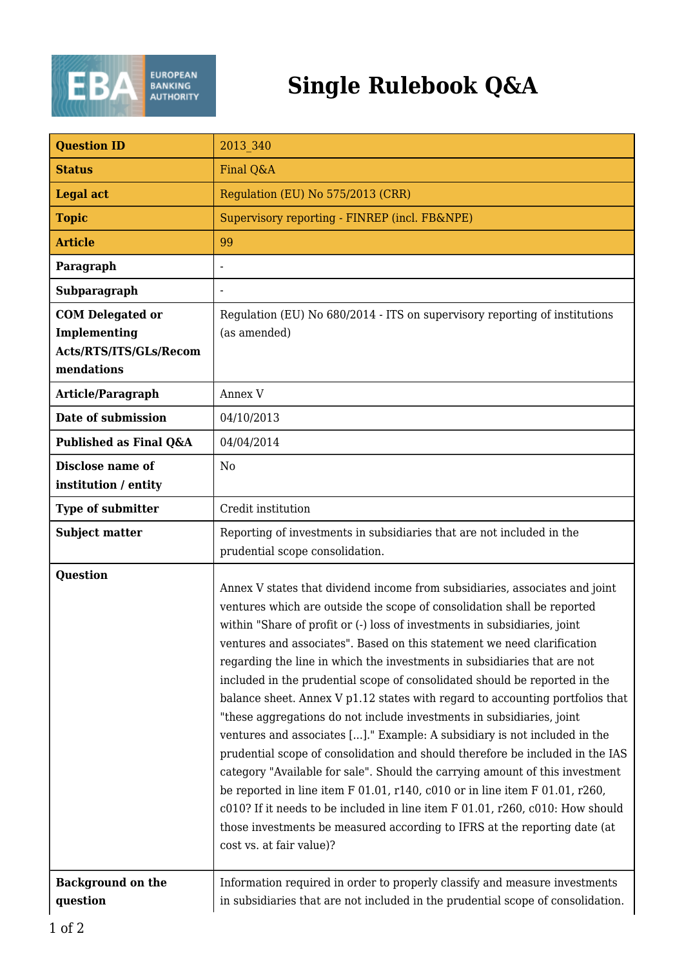

## **Single Rulebook Q&A**

| <b>Question ID</b>                                                              | 2013 340                                                                                                                                                                                                                                                                                                                                                                                                                                                                                                                                                                                                                                                                                                                                                                                                                                                                                                                                                                                                                                                                                                                                                  |
|---------------------------------------------------------------------------------|-----------------------------------------------------------------------------------------------------------------------------------------------------------------------------------------------------------------------------------------------------------------------------------------------------------------------------------------------------------------------------------------------------------------------------------------------------------------------------------------------------------------------------------------------------------------------------------------------------------------------------------------------------------------------------------------------------------------------------------------------------------------------------------------------------------------------------------------------------------------------------------------------------------------------------------------------------------------------------------------------------------------------------------------------------------------------------------------------------------------------------------------------------------|
| <b>Status</b>                                                                   | Final Q&A                                                                                                                                                                                                                                                                                                                                                                                                                                                                                                                                                                                                                                                                                                                                                                                                                                                                                                                                                                                                                                                                                                                                                 |
| <b>Legal act</b>                                                                | Regulation (EU) No 575/2013 (CRR)                                                                                                                                                                                                                                                                                                                                                                                                                                                                                                                                                                                                                                                                                                                                                                                                                                                                                                                                                                                                                                                                                                                         |
| <b>Topic</b>                                                                    | Supervisory reporting - FINREP (incl. FB&NPE)                                                                                                                                                                                                                                                                                                                                                                                                                                                                                                                                                                                                                                                                                                                                                                                                                                                                                                                                                                                                                                                                                                             |
| <b>Article</b>                                                                  | 99                                                                                                                                                                                                                                                                                                                                                                                                                                                                                                                                                                                                                                                                                                                                                                                                                                                                                                                                                                                                                                                                                                                                                        |
| Paragraph                                                                       | $\overline{\phantom{a}}$                                                                                                                                                                                                                                                                                                                                                                                                                                                                                                                                                                                                                                                                                                                                                                                                                                                                                                                                                                                                                                                                                                                                  |
| Subparagraph                                                                    |                                                                                                                                                                                                                                                                                                                                                                                                                                                                                                                                                                                                                                                                                                                                                                                                                                                                                                                                                                                                                                                                                                                                                           |
| <b>COM Delegated or</b><br>Implementing<br>Acts/RTS/ITS/GLs/Recom<br>mendations | Regulation (EU) No 680/2014 - ITS on supervisory reporting of institutions<br>(as amended)                                                                                                                                                                                                                                                                                                                                                                                                                                                                                                                                                                                                                                                                                                                                                                                                                                                                                                                                                                                                                                                                |
| Article/Paragraph                                                               | Annex V                                                                                                                                                                                                                                                                                                                                                                                                                                                                                                                                                                                                                                                                                                                                                                                                                                                                                                                                                                                                                                                                                                                                                   |
| Date of submission                                                              | 04/10/2013                                                                                                                                                                                                                                                                                                                                                                                                                                                                                                                                                                                                                                                                                                                                                                                                                                                                                                                                                                                                                                                                                                                                                |
| Published as Final Q&A                                                          | 04/04/2014                                                                                                                                                                                                                                                                                                                                                                                                                                                                                                                                                                                                                                                                                                                                                                                                                                                                                                                                                                                                                                                                                                                                                |
| Disclose name of<br>institution / entity                                        | N <sub>0</sub>                                                                                                                                                                                                                                                                                                                                                                                                                                                                                                                                                                                                                                                                                                                                                                                                                                                                                                                                                                                                                                                                                                                                            |
| <b>Type of submitter</b>                                                        | Credit institution                                                                                                                                                                                                                                                                                                                                                                                                                                                                                                                                                                                                                                                                                                                                                                                                                                                                                                                                                                                                                                                                                                                                        |
| <b>Subject matter</b>                                                           | Reporting of investments in subsidiaries that are not included in the                                                                                                                                                                                                                                                                                                                                                                                                                                                                                                                                                                                                                                                                                                                                                                                                                                                                                                                                                                                                                                                                                     |
|                                                                                 | prudential scope consolidation.                                                                                                                                                                                                                                                                                                                                                                                                                                                                                                                                                                                                                                                                                                                                                                                                                                                                                                                                                                                                                                                                                                                           |
| <b>Question</b>                                                                 | Annex V states that dividend income from subsidiaries, associates and joint<br>ventures which are outside the scope of consolidation shall be reported<br>within "Share of profit or (-) loss of investments in subsidiaries, joint<br>ventures and associates". Based on this statement we need clarification<br>regarding the line in which the investments in subsidiaries that are not<br>included in the prudential scope of consolidated should be reported in the<br>balance sheet. Annex V p1.12 states with regard to accounting portfolios that<br>"these aggregations do not include investments in subsidiaries, joint<br>ventures and associates []." Example: A subsidiary is not included in the<br>prudential scope of consolidation and should therefore be included in the IAS<br>category "Available for sale". Should the carrying amount of this investment<br>be reported in line item F 01.01, r140, c010 or in line item F 01.01, r260,<br>c010? If it needs to be included in line item F 01.01, r260, c010: How should<br>those investments be measured according to IFRS at the reporting date (at<br>cost vs. at fair value)? |